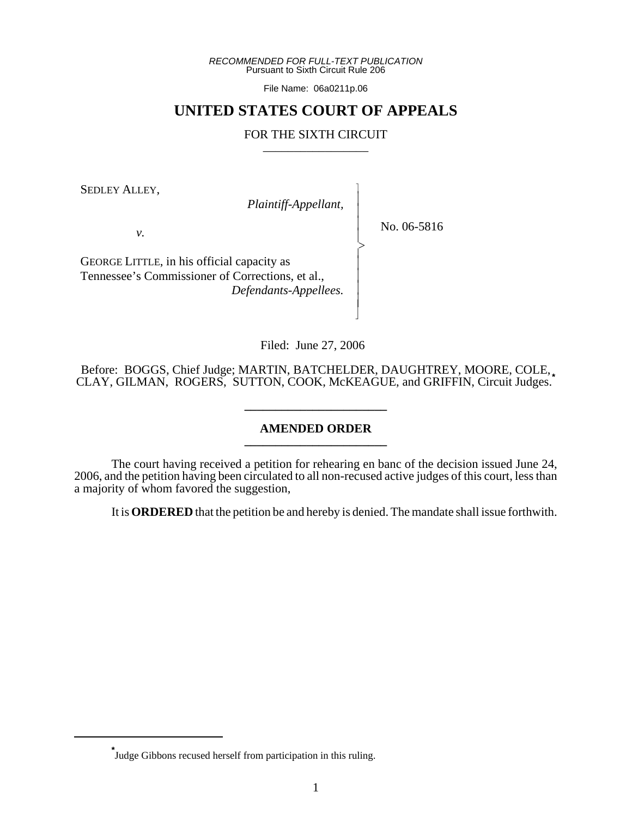*RECOMMENDED FOR FULL-TEXT PUBLICATION* Pursuant to Sixth Circuit Rule 206

File Name: 06a0211p.06

# **UNITED STATES COURT OF APPEALS**

### FOR THE SIXTH CIRCUIT

 $\overline{\phantom{a}}$ - - - -  $\succ$ |<br>|<br>| - - - - N

SEDLEY ALLEY,

*Plaintiff-Appellant,*

*v.*

No. 06-5816

GEORGE LITTLE, in his official capacity as Tennessee's Commissioner of Corrections, et al., *Defendants-Appellees.*

Filed: June 27, 2006

Before: BOGGS, Chief Judge; MARTIN, BATCHELDER, DAUGHTREY, MOORE, COLE, CLAY, GILMAN, ROGERS, SUTTON, COOK, McKEAGUE, and GRIFFIN, Circuit Judges.**\***

# **AMENDED ORDER \_\_\_\_\_\_\_\_\_\_\_\_\_\_\_\_\_\_\_\_\_\_\_**

**\_\_\_\_\_\_\_\_\_\_\_\_\_\_\_\_\_\_\_\_\_\_\_**

The court having received a petition for rehearing en banc of the decision issued June 24, 2006, and the petition having been circulated to all non-recused active judges of this court, less than a majority of whom favored the suggestion,

It is **ORDERED** that the petition be and hereby is denied. The mandate shall issue forthwith.

**<sup>\*</sup>** Judge Gibbons recused herself from participation in this ruling.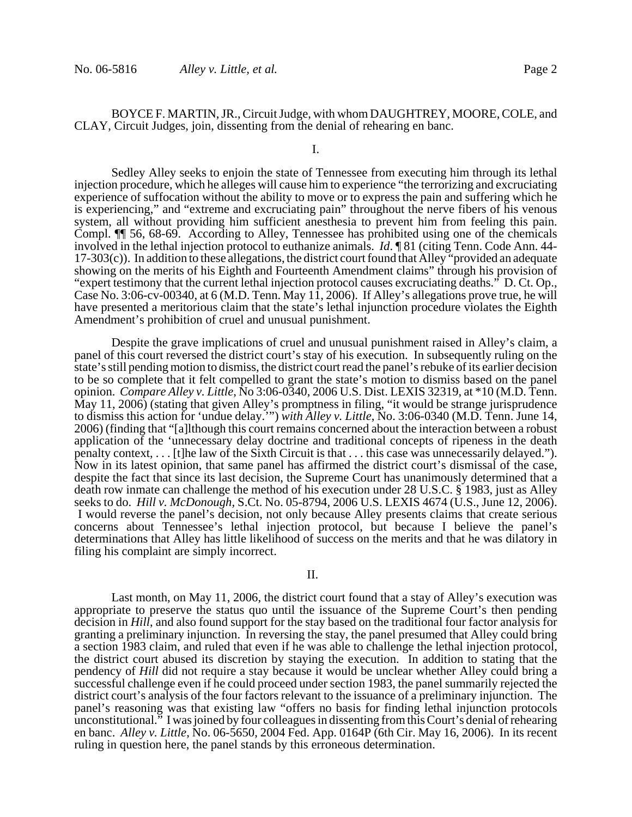#### BOYCE F. MARTIN, JR., Circuit Judge, with whom DAUGHTREY, MOORE, COLE, and CLAY, Circuit Judges, join, dissenting from the denial of rehearing en banc.

I.

Sedley Alley seeks to enjoin the state of Tennessee from executing him through its lethal injection procedure, which he alleges will cause him to experience "the terrorizing and excruciating experience of suffocation without the ability to move or to express the pain and suffering which he is experiencing," and "extreme and excruciating pain" throughout the nerve fibers of his venous system, all without providing him sufficient anesthesia to prevent him from feeling this pain. Compl. ¶¶ 56, 68-69. According to Alley, Tennessee has prohibited using one of the chemicals involved in the lethal injection protocol to euthanize animals. *Id*. ¶ 81 (citing Tenn. Code Ann. 44-  $17-303(c)$ ). In addition to these allegations, the district court found that Alley "provided an adequate showing on the merits of his Eighth and Fourteenth Amendment claims" through his provision of "expert testimony that the current lethal injection protocol causes excruciating deaths." D. Ct. Op., Case No. 3:06-cv-00340, at 6 (M.D. Tenn. May 11, 2006). If Alley's allegations prove true, he will have presented a meritorious claim that the state's lethal injunction procedure violates the Eighth Amendment's prohibition of cruel and unusual punishment.

Despite the grave implications of cruel and unusual punishment raised in Alley's claim, a panel of this court reversed the district court's stay of his execution. In subsequently ruling on the state's still pending motion to dismiss, the district court read the panel's rebuke of its earlier decision to be so complete that it felt compelled to grant the state's motion to dismiss based on the panel opinion. *Compare Alley v. Little*, No 3:06-0340, 2006 U.S. Dist. LEXIS 32319, at \*10 (M.D. Tenn. May 11, 2006) (stating that given Alley's promptness in filing, "it would be strange jurisprudence to dismiss this action for 'undue delay.'") *with Alley v. Little*, No. 3:06-0340 (M.D. Tenn. June 14, 2006) (finding that "[a]lthough this court remains concerned about the interaction between a robust application of the 'unnecessary delay doctrine and traditional concepts of ripeness in the death penalty context, . . . [t]he law of the Sixth Circuit is that . . . this case was unnecessarily delayed."). Now in its latest opinion, that same panel has affirmed the district court's dismissal of the case, despite the fact that since its last decision, the Supreme Court has unanimously determined that a death row inmate can challenge the method of his execution under 28 U.S.C. § 1983, just as Alley seeks to do. *Hill v. McDonough,* S.Ct. No. 05-8794*,* 2006 U.S. LEXIS 4674 (U.S., June 12, 2006). I would reverse the panel's decision, not only because Alley presents claims that create serious concerns about Tennessee's lethal injection protocol, but because I believe the panel's determinations that Alley has little likelihood of success on the merits and that he was dilatory in filing his complaint are simply incorrect.

II.

Last month, on May 11, 2006, the district court found that a stay of Alley's execution was appropriate to preserve the status quo until the issuance of the Supreme Court's then pending decision in *Hill*, and also found support for the stay based on the traditional four factor analysis for granting a preliminary injunction. In reversing the stay, the panel presumed that Alley could bring a section 1983 claim, and ruled that even if he was able to challenge the lethal injection protocol, the district court abused its discretion by staying the execution. In addition to stating that the pendency of *Hill* did not require a stay because it would be unclear whether Alley could bring a successful challenge even if he could proceed under section 1983, the panel summarily rejected the district court's analysis of the four factors relevant to the issuance of a preliminary injunction. The panel's reasoning was that existing law "offers no basis for finding lethal injunction protocols unconstitutional." I was joined by four colleagues in dissenting from this Court's denial of rehearing en banc. *Alley v. Little*, No. 06-5650, 2004 Fed. App. 0164P (6th Cir. May 16, 2006). In its recent ruling in question here, the panel stands by this erroneous determination.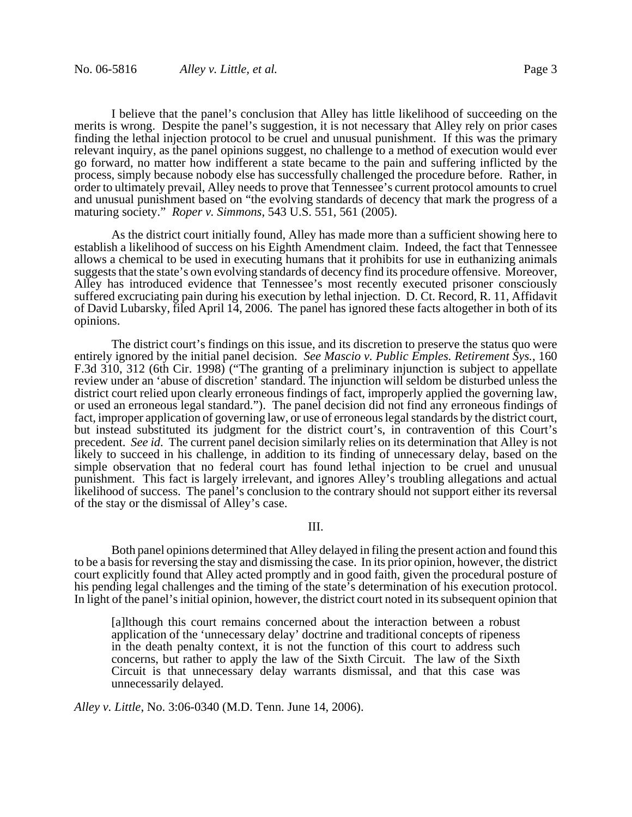I believe that the panel's conclusion that Alley has little likelihood of succeeding on the merits is wrong. Despite the panel's suggestion, it is not necessary that Alley rely on prior cases finding the lethal injection protocol to be cruel and unusual punishment. If this was the primary relevant inquiry, as the panel opinions suggest, no challenge to a method of execution would ever go forward, no matter how indifferent a state became to the pain and suffering inflicted by the process, simply because nobody else has successfully challenged the procedure before. Rather, in order to ultimately prevail, Alley needs to prove that Tennessee's current protocol amounts to cruel and unusual punishment based on "the evolving standards of decency that mark the progress of a maturing society." *Roper v. Simmons*, 543 U.S. 551, 561 (2005).

As the district court initially found, Alley has made more than a sufficient showing here to establish a likelihood of success on his Eighth Amendment claim. Indeed, the fact that Tennessee allows a chemical to be used in executing humans that it prohibits for use in euthanizing animals suggests that the state's own evolving standards of decency find its procedure offensive. Moreover, Alley has introduced evidence that Tennessee's most recently executed prisoner consciously suffered excruciating pain during his execution by lethal injection. D. Ct. Record, R. 11, Affidavit of David Lubarsky, filed April 14, 2006. The panel has ignored these facts altogether in both of its opinions.

The district court's findings on this issue, and its discretion to preserve the status quo were entirely ignored by the initial panel decision. *See Mascio v. Public Emples. Retirement Sys.*, 160 F.3d 310, 312 (6th Cir. 1998) ("The granting of a preliminary injunction is subject to appellate review under an 'abuse of discretion' standard. The injunction will seldom be disturbed unless the district court relied upon clearly erroneous findings of fact, improperly applied the governing law, or used an erroneous legal standard."). The panel decision did not find any erroneous findings of fact, improper application of governing law, or use of erroneous legal standards by the district court, but instead substituted its judgment for the district court's, in contravention of this Court's precedent. *See id*. The current panel decision similarly relies on its determination that Alley is not likely to succeed in his challenge, in addition to its finding of unnecessary delay, based on the simple observation that no federal court has found lethal injection to be cruel and unusual punishment. This fact is largely irrelevant, and ignores Alley's troubling allegations and actual likelihood of success. The panel's conclusion to the contrary should not support either its reversal of the stay or the dismissal of Alley's case.

## III.

Both panel opinions determined that Alley delayed in filing the present action and found this to be a basis for reversing the stay and dismissing the case. In its prior opinion, however, the district court explicitly found that Alley acted promptly and in good faith, given the procedural posture of his pending legal challenges and the timing of the state's determination of his execution protocol. In light of the panel's initial opinion, however, the district court noted in its subsequent opinion that

[a]lthough this court remains concerned about the interaction between a robust application of the 'unnecessary delay' doctrine and traditional concepts of ripeness in the death penalty context, it is not the function of this court to address such concerns, but rather to apply the law of the Sixth Circuit. The law of the Sixth Circuit is that unnecessary delay warrants dismissal, and that this case was unnecessarily delayed.

*Alley v. Little*, No. 3:06-0340 (M.D. Tenn. June 14, 2006).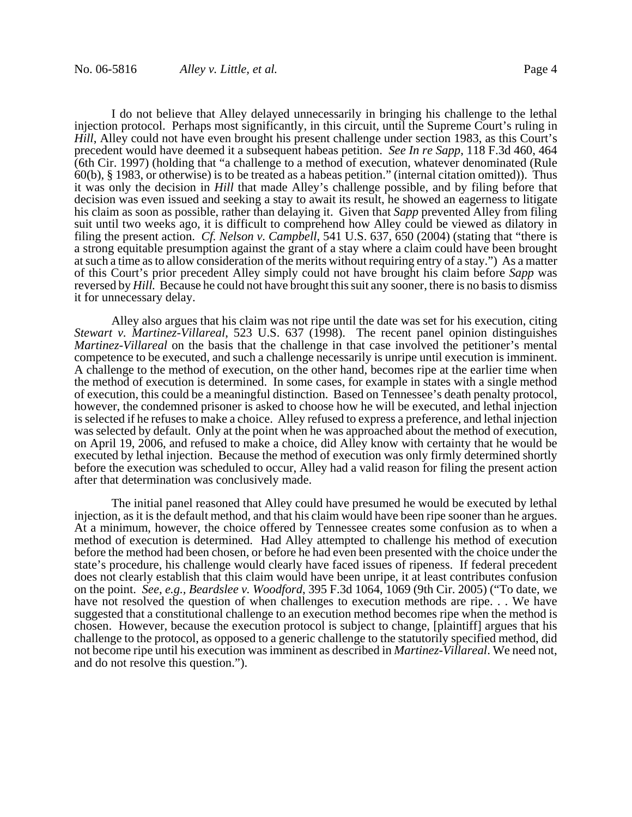I do not believe that Alley delayed unnecessarily in bringing his challenge to the lethal injection protocol. Perhaps most significantly, in this circuit, until the Supreme Court's ruling in *Hill*, Alley could not have even brought his present challenge under section 1983, as this Court's precedent would have deemed it a subsequent habeas petition. *See In re Sapp*, 118 F.3d 460, 464 (6th Cir. 1997) (holding that "a challenge to a method of execution, whatever denominated (Rule 60(b), § 1983, or otherwise) is to be treated as a habeas petition." (internal citation omitted)). Thus it was only the decision in *Hill* that made Alley's challenge possible, and by filing before that decision was even issued and seeking a stay to await its result, he showed an eagerness to litigate his claim as soon as possible, rather than delaying it. Given that *Sapp* prevented Alley from filing suit until two weeks ago, it is difficult to comprehend how Alley could be viewed as dilatory in filing the present action. *Cf. Nelson v. Campbell*, 541 U.S. 637, 650 (2004) (stating that "there is a strong equitable presumption against the grant of a stay where a claim could have been brought at such a time as to allow consideration of the merits without requiring entry of a stay.") As a matter of this Court's prior precedent Alley simply could not have brought his claim before *Sapp* was reversed by *Hill.* Because he could not have brought this suit any sooner, there is no basis to dismiss it for unnecessary delay.

Alley also argues that his claim was not ripe until the date was set for his execution, citing *Stewart v. Martinez-Villareal*, 523 U.S. 637 (1998). The recent panel opinion distinguishes *Martinez-Villareal* on the basis that the challenge in that case involved the petitioner's mental competence to be executed, and such a challenge necessarily is unripe until execution is imminent. A challenge to the method of execution, on the other hand, becomes ripe at the earlier time when the method of execution is determined. In some cases, for example in states with a single method of execution, this could be a meaningful distinction. Based on Tennessee's death penalty protocol, however, the condemned prisoner is asked to choose how he will be executed, and lethal injection is selected if he refuses to make a choice. Alley refused to express a preference, and lethal injection was selected by default. Only at the point when he was approached about the method of execution, on April 19, 2006, and refused to make a choice, did Alley know with certainty that he would be executed by lethal injection. Because the method of execution was only firmly determined shortly before the execution was scheduled to occur, Alley had a valid reason for filing the present action after that determination was conclusively made.

The initial panel reasoned that Alley could have presumed he would be executed by lethal injection, as it is the default method, and that his claim would have been ripe sooner than he argues. At a minimum, however, the choice offered by Tennessee creates some confusion as to when a method of execution is determined. Had Alley attempted to challenge his method of execution before the method had been chosen, or before he had even been presented with the choice under the state's procedure, his challenge would clearly have faced issues of ripeness. If federal precedent does not clearly establish that this claim would have been unripe, it at least contributes confusion on the point. *See, e.g., Beardslee v. Woodford*, 395 F.3d 1064, 1069 (9th Cir. 2005) ("To date, we have not resolved the question of when challenges to execution methods are ripe. . . We have suggested that a constitutional challenge to an execution method becomes ripe when the method is chosen. However, because the execution protocol is subject to change, [plaintiff] argues that his challenge to the protocol, as opposed to a generic challenge to the statutorily specified method, did not become ripe until his execution was imminent as described in *Martinez-Villareal*. We need not, and do not resolve this question.").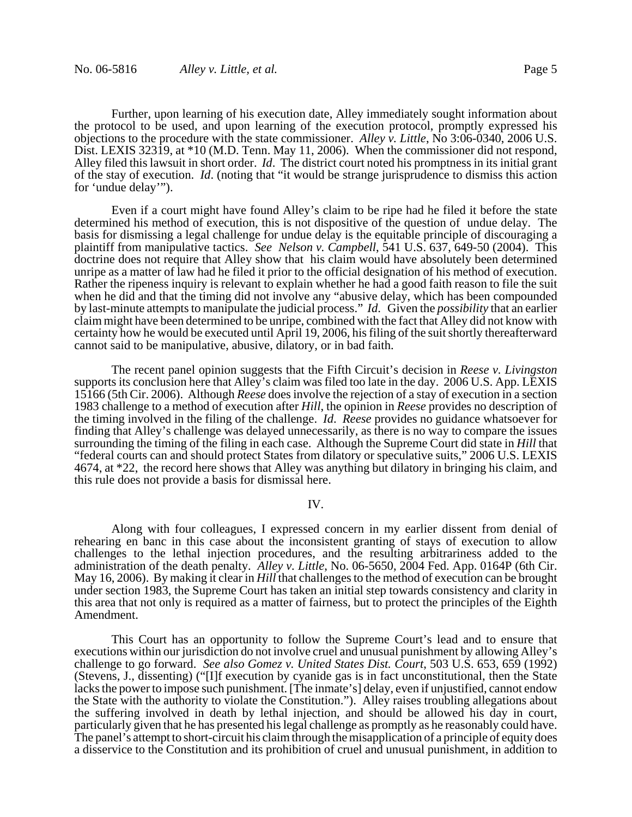Further, upon learning of his execution date, Alley immediately sought information about the protocol to be used, and upon learning of the execution protocol, promptly expressed his objections to the procedure with the state commissioner. *Alley v. Little*, No 3:06-0340, 2006 U.S. Dist. LEXIS 32319, at \*10 (M.D. Tenn. May 11, 2006). When the commissioner did not respond, Alley filed this lawsuit in short order. *Id*. The district court noted his promptness in its initial grant of the stay of execution. *Id*. (noting that "it would be strange jurisprudence to dismiss this action for 'undue delay'").

Even if a court might have found Alley's claim to be ripe had he filed it before the state determined his method of execution, this is not dispositive of the question of undue delay. The basis for dismissing a legal challenge for undue delay is the equitable principle of discouraging a plaintiff from manipulative tactics. *See Nelson v. Campbell*, 541 U.S. 637, 649-50 (2004). This doctrine does not require that Alley show that his claim would have absolutely been determined unripe as a matter of law had he filed it prior to the official designation of his method of execution. Rather the ripeness inquiry is relevant to explain whether he had a good faith reason to file the suit when he did and that the timing did not involve any "abusive delay, which has been compounded by last-minute attempts to manipulate the judicial process." *Id*. Given the *possibility* that an earlier claim might have been determined to be unripe, combined with the fact that Alley did not know with certainty how he would be executed until April 19, 2006, his filing of the suit shortly thereafterward cannot said to be manipulative, abusive, dilatory, or in bad faith.

The recent panel opinion suggests that the Fifth Circuit's decision in *Reese v. Livingston* supports its conclusion here that Alley's claim was filed too late in the day. 2006 U.S. App. LEXIS 15166 (5th Cir. 2006). Although *Reese* does involve the rejection of a stay of execution in a section 1983 challenge to a method of execution after *Hill*, the opinion in *Reese* provides no description of the timing involved in the filing of the challenge. *Id*. *Reese* provides no guidance whatsoever for finding that Alley's challenge was delayed unnecessarily, as there is no way to compare the issues surrounding the timing of the filing in each case. Although the Supreme Court did state in *Hill* that "federal courts can and should protect States from dilatory or speculative suits," 2006 U.S. LEXIS 4674, at \*22, the record here shows that Alley was anything but dilatory in bringing his claim, and this rule does not provide a basis for dismissal here.

#### IV.

Along with four colleagues, I expressed concern in my earlier dissent from denial of rehearing en banc in this case about the inconsistent granting of stays of execution to allow challenges to the lethal injection procedures, and the resulting arbitrariness added to the administration of the death penalty. *Alley v. Little*, No. 06-5650, 2004 Fed. App. 0164P (6th Cir. May 16, 2006). By making it clear in *Hill* that challenges to the method of execution can be brought under section 1983, the Supreme Court has taken an initial step towards consistency and clarity in this area that not only is required as a matter of fairness, but to protect the principles of the Eighth Amendment.

This Court has an opportunity to follow the Supreme Court's lead and to ensure that executions within our jurisdiction do not involve cruel and unusual punishment by allowing Alley's challenge to go forward. *See also Gomez v. United States Dist. Court*, 503 U.S. 653, 659 (1992) (Stevens, J., dissenting) ("[I]f execution by cyanide gas is in fact unconstitutional, then the State lacks the power to impose such punishment. [The inmate's] delay, even if unjustified, cannot endow the State with the authority to violate the Constitution."). Alley raises troubling allegations about the suffering involved in death by lethal injection, and should be allowed his day in court, particularly given that he has presented his legal challenge as promptly as he reasonably could have. The panel's attempt to short-circuit his claim through the misapplication of a principle of equity does a disservice to the Constitution and its prohibition of cruel and unusual punishment, in addition to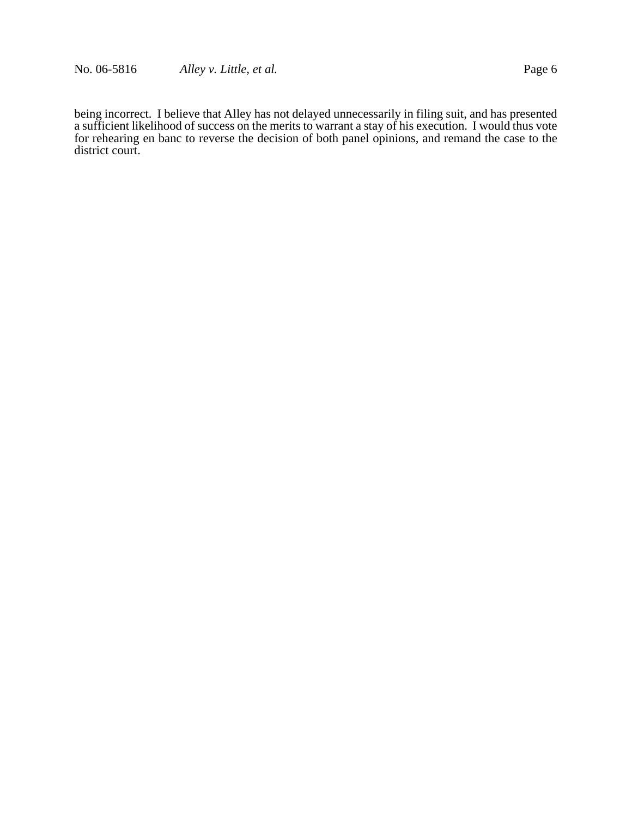being incorrect. I believe that Alley has not delayed unnecessarily in filing suit, and has presented a sufficient likelihood of success on the merits to warrant a stay of his execution. I would thus vote for rehearing en banc to reverse the decision of both panel opinions, and remand the case to the district court.